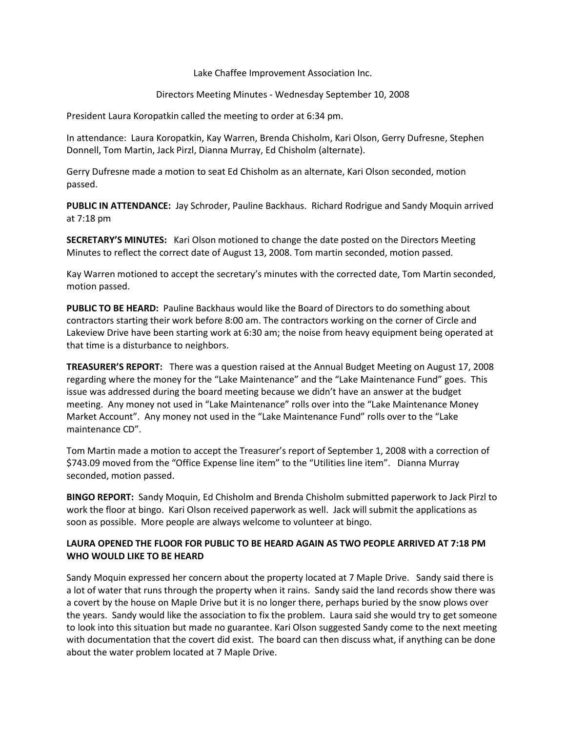Lake Chaffee Improvement Association Inc.

Directors Meeting Minutes - Wednesday September 10, 2008

President Laura Koropatkin called the meeting to order at 6:34 pm.

In attendance: Laura Koropatkin, Kay Warren, Brenda Chisholm, Kari Olson, Gerry Dufresne, Stephen Donnell, Tom Martin, Jack Pirzl, Dianna Murray, Ed Chisholm (alternate).

Gerry Dufresne made a motion to seat Ed Chisholm as an alternate, Kari Olson seconded, motion passed.

**PUBLIC IN ATTENDANCE:** Jay Schroder, Pauline Backhaus. Richard Rodrigue and Sandy Moquin arrived at 7:18 pm

**SECRETARY'S MINUTES:** Kari Olson motioned to change the date posted on the Directors Meeting Minutes to reflect the correct date of August 13, 2008. Tom martin seconded, motion passed.

Kay Warren motioned to accept the secretary's minutes with the corrected date, Tom Martin seconded, motion passed.

**PUBLIC TO BE HEARD:** Pauline Backhaus would like the Board of Directors to do something about contractors starting their work before 8:00 am. The contractors working on the corner of Circle and Lakeview Drive have been starting work at 6:30 am; the noise from heavy equipment being operated at that time is a disturbance to neighbors.

**TREASURER'S REPORT:** There was a question raised at the Annual Budget Meeting on August 17, 2008 regarding where the money for the "Lake Maintenance" and the "Lake Maintenance Fund" goes. This issue was addressed during the board meeting because we didn't have an answer at the budget meeting. Any money not used in "Lake Maintenance" rolls over into the "Lake Maintenance Money Market Account". Any money not used in the "Lake Maintenance Fund" rolls over to the "Lake maintenance CD".

Tom Martin made a motion to accept the Treasurer's report of September 1, 2008 with a correction of \$743.09 moved from the "Office Expense line item" to the "Utilities line item". Dianna Murray seconded, motion passed.

**BINGO REPORT:** Sandy Moquin, Ed Chisholm and Brenda Chisholm submitted paperwork to Jack Pirzl to work the floor at bingo. Kari Olson received paperwork as well. Jack will submit the applications as soon as possible. More people are always welcome to volunteer at bingo.

## **LAURA OPENED THE FLOOR FOR PUBLIC TO BE HEARD AGAIN AS TWO PEOPLE ARRIVED AT 7:18 PM WHO WOULD LIKE TO BE HEARD**

Sandy Moquin expressed her concern about the property located at 7 Maple Drive. Sandy said there is a lot of water that runs through the property when it rains. Sandy said the land records show there was a covert by the house on Maple Drive but it is no longer there, perhaps buried by the snow plows over the years. Sandy would like the association to fix the problem. Laura said she would try to get someone to look into this situation but made no guarantee. Kari Olson suggested Sandy come to the next meeting with documentation that the covert did exist. The board can then discuss what, if anything can be done about the water problem located at 7 Maple Drive.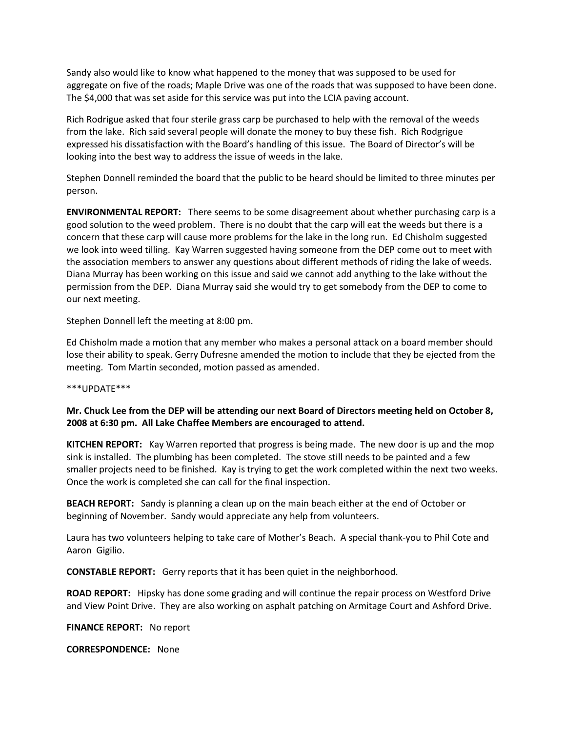Sandy also would like to know what happened to the money that was supposed to be used for aggregate on five of the roads; Maple Drive was one of the roads that was supposed to have been done. The \$4,000 that was set aside for this service was put into the LCIA paving account.

Rich Rodrigue asked that four sterile grass carp be purchased to help with the removal of the weeds from the lake. Rich said several people will donate the money to buy these fish. Rich Rodgrigue expressed his dissatisfaction with the Board's handling of this issue. The Board of Director's will be looking into the best way to address the issue of weeds in the lake.

Stephen Donnell reminded the board that the public to be heard should be limited to three minutes per person.

**ENVIRONMENTAL REPORT:** There seems to be some disagreement about whether purchasing carp is a good solution to the weed problem. There is no doubt that the carp will eat the weeds but there is a concern that these carp will cause more problems for the lake in the long run. Ed Chisholm suggested we look into weed tilling. Kay Warren suggested having someone from the DEP come out to meet with the association members to answer any questions about different methods of riding the lake of weeds. Diana Murray has been working on this issue and said we cannot add anything to the lake without the permission from the DEP. Diana Murray said she would try to get somebody from the DEP to come to our next meeting.

Stephen Donnell left the meeting at 8:00 pm.

Ed Chisholm made a motion that any member who makes a personal attack on a board member should lose their ability to speak. Gerry Dufresne amended the motion to include that they be ejected from the meeting. Tom Martin seconded, motion passed as amended.

\*\*\*UPDATE\*\*\*

## **Mr. Chuck Lee from the DEP will be attending our next Board of Directors meeting held on October 8, 2008 at 6:30 pm. All Lake Chaffee Members are encouraged to attend.**

**KITCHEN REPORT:** Kay Warren reported that progress is being made. The new door is up and the mop sink is installed. The plumbing has been completed. The stove still needs to be painted and a few smaller projects need to be finished. Kay is trying to get the work completed within the next two weeks. Once the work is completed she can call for the final inspection.

**BEACH REPORT:** Sandy is planning a clean up on the main beach either at the end of October or beginning of November. Sandy would appreciate any help from volunteers.

Laura has two volunteers helping to take care of Mother's Beach. A special thank-you to Phil Cote and Aaron Gigilio.

**CONSTABLE REPORT:** Gerry reports that it has been quiet in the neighborhood.

**ROAD REPORT:** Hipsky has done some grading and will continue the repair process on Westford Drive and View Point Drive. They are also working on asphalt patching on Armitage Court and Ashford Drive.

**FINANCE REPORT:** No report

**CORRESPONDENCE:** None